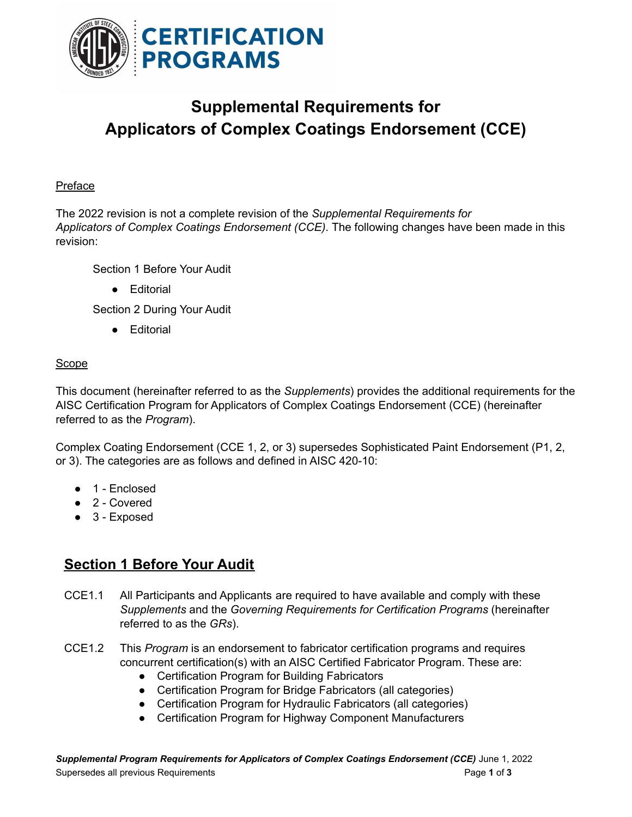

# **Supplemental Requirements for Applicators of Complex Coatings Endorsement (CCE)**

#### Preface

The 2022 revision is not a complete revision of the *Supplemental Requirements for Applicators of Complex Coatings Endorsement (CCE)*. The following changes have been made in this revision:

Section 1 Before Your Audit

● Editorial

Section 2 During Your Audit

● Editorial

### Scope

This document (hereinafter referred to as the *Supplements*) provides the additional requirements for the AISC Certification Program for Applicators of Complex Coatings Endorsement (CCE) (hereinafter referred to as the *Program*).

Complex Coating Endorsement (CCE 1, 2, or 3) supersedes Sophisticated Paint Endorsement (P1, 2, or 3). The categories are as follows and defined in AISC 420-10:

- 1 Enclosed
- 2 Covered
- 3 Exposed

## **Section 1 Before Your Audit**

- CCE1.1 All Participants and Applicants are required to have available and comply with these *Supplements* and the *Governing Requirements for Certification Programs* (hereinafter referred to as the *GRs*).
- CCE1.2 This *Program* is an endorsement to fabricator certification programs and requires concurrent certification(s) with an AISC Certified Fabricator Program. These are:
	- Certification Program for Building Fabricators
	- Certification Program for Bridge Fabricators (all categories)
	- Certification Program for Hydraulic Fabricators (all categories)
	- Certification Program for Highway Component Manufacturers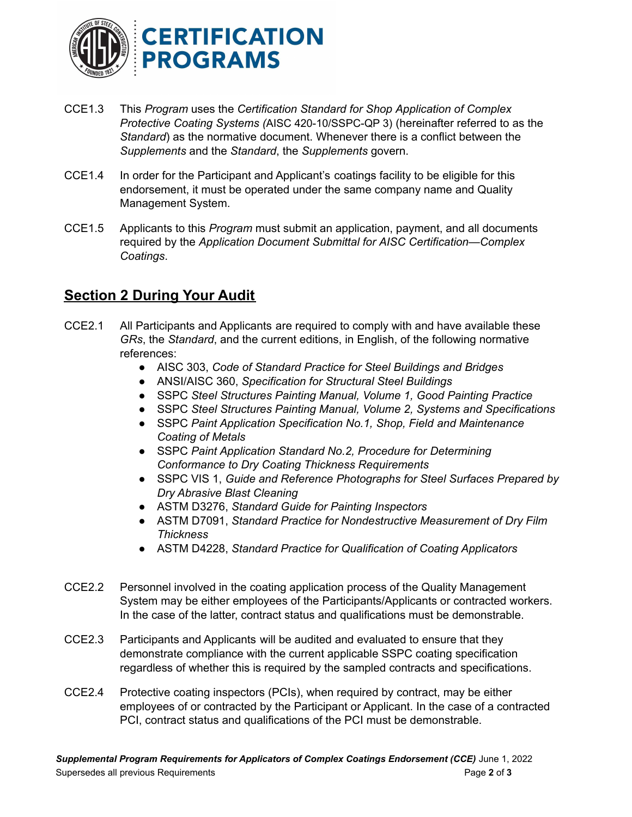

- CCE1.3 This *Program* uses the *Certification Standard for Shop Application of Complex Protective Coating Systems (*AISC 420-10/SSPC-QP 3) (hereinafter referred to as the *Standard*) as the normative document. Whenever there is a conflict between the *Supplements* and the *Standard*, the *Supplements* govern.
- CCE1.4 In order for the Participant and Applicant's coatings facility to be eligible for this endorsement, it must be operated under the same company name and Quality Management System.
- CCE1.5 Applicants to this *Program* must submit an application, payment, and all documents required by the *Application Document Submittal for AISC Certification—Complex Coatings*.

## **Section 2 During Your Audit**

- CCE2.1 All Participants and Applicants are required to comply with and have available these *GRs*, the *Standard*, and the current editions, in English, of the following normative references:
	- AISC 303, *Code of Standard Practice for Steel Buildings and Bridges*
	- ANSI/AISC 360, *Specification for Structural Steel Buildings*
	- SSPC *Steel Structures Painting Manual, Volume 1, Good Painting Practice*
	- SSPC *Steel Structures Painting Manual, Volume 2, Systems and Specifications*
	- SSPC *Paint Application Specification No.1, Shop, Field and Maintenance Coating of Metals*
	- SSPC *Paint Application Standard No.2, Procedure for Determining Conformance to Dry Coating Thickness Requirements*
	- SSPC VIS 1, *Guide and Reference Photographs for Steel Surfaces Prepared by Dry Abrasive Blast Cleaning*
	- ASTM D3276, *Standard Guide for Painting Inspectors*
	- ASTM D7091, *Standard Practice for Nondestructive Measurement of Dry Film Thickness*
	- ASTM D4228, *Standard Practice for Qualification of Coating Applicators*
- CCE2.2 Personnel involved in the coating application process of the Quality Management System may be either employees of the Participants/Applicants or contracted workers. In the case of the latter, contract status and qualifications must be demonstrable.
- CCE2.3 Participants and Applicants will be audited and evaluated to ensure that they demonstrate compliance with the current applicable SSPC coating specification regardless of whether this is required by the sampled contracts and specifications.
- CCE2.4 Protective coating inspectors (PCIs), when required by contract, may be either employees of or contracted by the Participant or Applicant. In the case of a contracted PCI, contract status and qualifications of the PCI must be demonstrable.